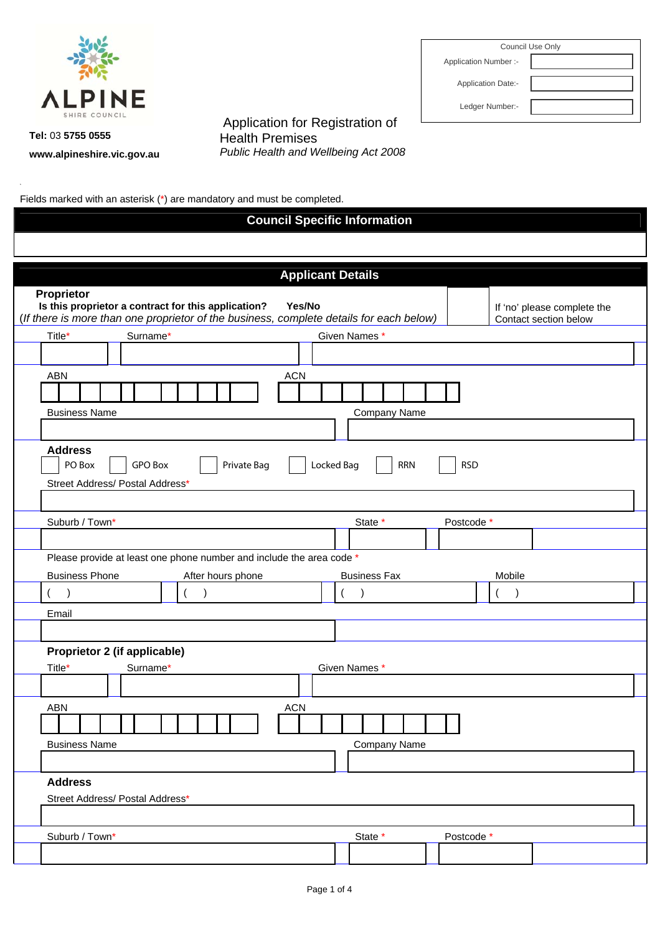

|                             | Council Use Only |
|-----------------------------|------------------|
| <b>Application Number:-</b> |                  |
| <b>Application Date:-</b>   |                  |
| Ledger Number:-             |                  |

**Tel:** 03 **5755 0555 www.alpineshire.vic.gov.au** 

 Application for Registration of Health Premises *Public Health and Wellbeing Act 2008*

Fields marked with an asterisk (\*) are mandatory and must be completed.

## **Council Specific Information**

| <b>Applicant Details</b>                                                                                                                                               |                                                      |  |  |  |  |
|------------------------------------------------------------------------------------------------------------------------------------------------------------------------|------------------------------------------------------|--|--|--|--|
| Proprietor<br>Yes/No<br>Is this proprietor a contract for this application?<br>(If there is more than one proprietor of the business, complete details for each below) | If 'no' please complete the<br>Contact section below |  |  |  |  |
| Title*<br>Surname*                                                                                                                                                     | Given Names *                                        |  |  |  |  |
|                                                                                                                                                                        |                                                      |  |  |  |  |
| <b>ABN</b><br><b>ACN</b>                                                                                                                                               |                                                      |  |  |  |  |
|                                                                                                                                                                        |                                                      |  |  |  |  |
| <b>Business Name</b>                                                                                                                                                   | Company Name                                         |  |  |  |  |
|                                                                                                                                                                        |                                                      |  |  |  |  |
| <b>Address</b><br>PO Box<br>GPO Box<br>Private Bag<br>Street Address/ Postal Address*                                                                                  | Locked Bag<br><b>RRN</b><br><b>RSD</b>               |  |  |  |  |
| Suburb / Town*                                                                                                                                                         | State *<br>Postcode *                                |  |  |  |  |
|                                                                                                                                                                        |                                                      |  |  |  |  |
| Please provide at least one phone number and include the area code *                                                                                                   |                                                      |  |  |  |  |
| <b>Business Phone</b><br>After hours phone                                                                                                                             | <b>Business Fax</b><br>Mobile                        |  |  |  |  |
| $\left($                                                                                                                                                               | $\lambda$<br>$\overline{ }$<br>$\overline{ }$        |  |  |  |  |
| Email                                                                                                                                                                  |                                                      |  |  |  |  |
|                                                                                                                                                                        |                                                      |  |  |  |  |
| Proprietor 2 (if applicable)                                                                                                                                           |                                                      |  |  |  |  |
| Title*<br>Surname*                                                                                                                                                     | Given Names *                                        |  |  |  |  |
|                                                                                                                                                                        |                                                      |  |  |  |  |
| <b>ABN</b><br><b>ACN</b>                                                                                                                                               |                                                      |  |  |  |  |
|                                                                                                                                                                        |                                                      |  |  |  |  |
| <b>Business Name</b>                                                                                                                                                   | Company Name                                         |  |  |  |  |
|                                                                                                                                                                        |                                                      |  |  |  |  |
| <b>Address</b>                                                                                                                                                         |                                                      |  |  |  |  |
| Street Address/ Postal Address*                                                                                                                                        |                                                      |  |  |  |  |
|                                                                                                                                                                        |                                                      |  |  |  |  |
| Suburb / Town*                                                                                                                                                         | State *<br>Postcode *                                |  |  |  |  |
|                                                                                                                                                                        |                                                      |  |  |  |  |
|                                                                                                                                                                        |                                                      |  |  |  |  |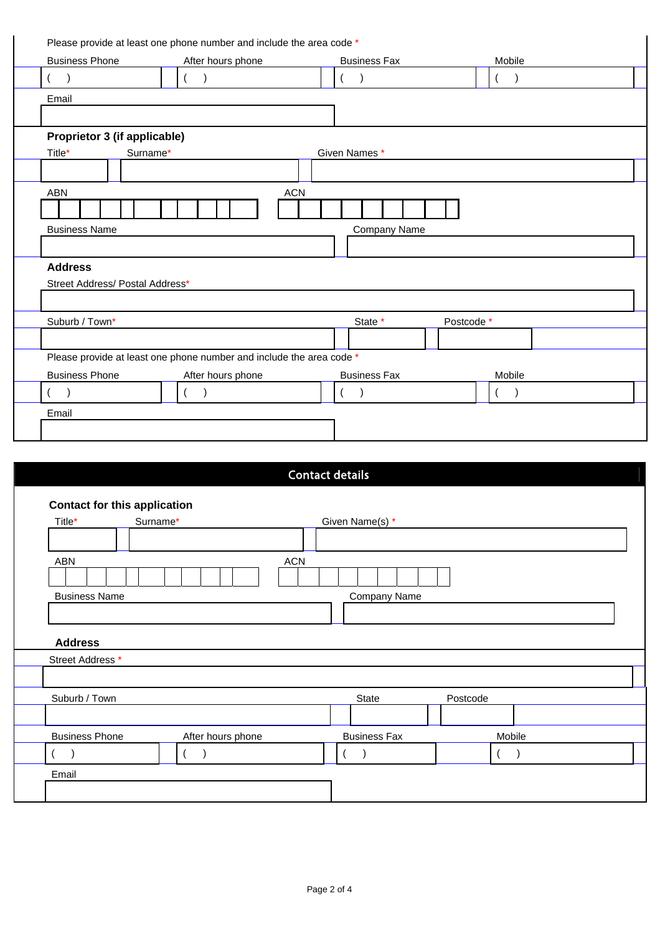| <b>Business Phone</b>               | After hours phone                                                    | <b>Business Fax</b>    | Mobile                |
|-------------------------------------|----------------------------------------------------------------------|------------------------|-----------------------|
| $\lambda$                           | $\left($<br>$\lambda$                                                | $\lambda$              | $($ $)$               |
| Email                               |                                                                      |                        |                       |
|                                     |                                                                      |                        |                       |
| Proprietor 3 (if applicable)        |                                                                      |                        |                       |
| Title*<br>Surname*                  |                                                                      | Given Names *          |                       |
|                                     |                                                                      |                        |                       |
|                                     |                                                                      |                        |                       |
| ABN                                 | <b>ACN</b>                                                           |                        |                       |
|                                     |                                                                      |                        |                       |
| <b>Business Name</b>                |                                                                      | <b>Company Name</b>    |                       |
|                                     |                                                                      |                        |                       |
| <b>Address</b>                      |                                                                      |                        |                       |
| Street Address/ Postal Address*     |                                                                      |                        |                       |
|                                     |                                                                      |                        |                       |
| Suburb / Town*                      |                                                                      | State *                | Postcode *            |
|                                     |                                                                      |                        |                       |
|                                     | Please provide at least one phone number and include the area code * |                        |                       |
| <b>Business Phone</b>               | After hours phone                                                    | <b>Business Fax</b>    | Mobile                |
|                                     | $\left($                                                             |                        | $\left($<br>$\lambda$ |
| Email                               |                                                                      |                        |                       |
|                                     |                                                                      |                        |                       |
|                                     |                                                                      |                        |                       |
|                                     |                                                                      |                        |                       |
|                                     |                                                                      | <b>Contact details</b> |                       |
| <b>Contact for this application</b> |                                                                      |                        |                       |
| Title* Surname*                     |                                                                      | Given Name(s) *        |                       |
|                                     |                                                                      |                        |                       |
|                                     | $ACN$                                                                |                        |                       |
|                                     |                                                                      |                        |                       |
| ABN                                 |                                                                      |                        |                       |

|                   | State               |        |          |
|-------------------|---------------------|--------|----------|
|                   |                     |        |          |
| After hours phone | <b>Business Fax</b> | Mobile |          |
|                   |                     |        |          |
|                   |                     |        |          |
|                   |                     |        |          |
|                   |                     |        | Postcode |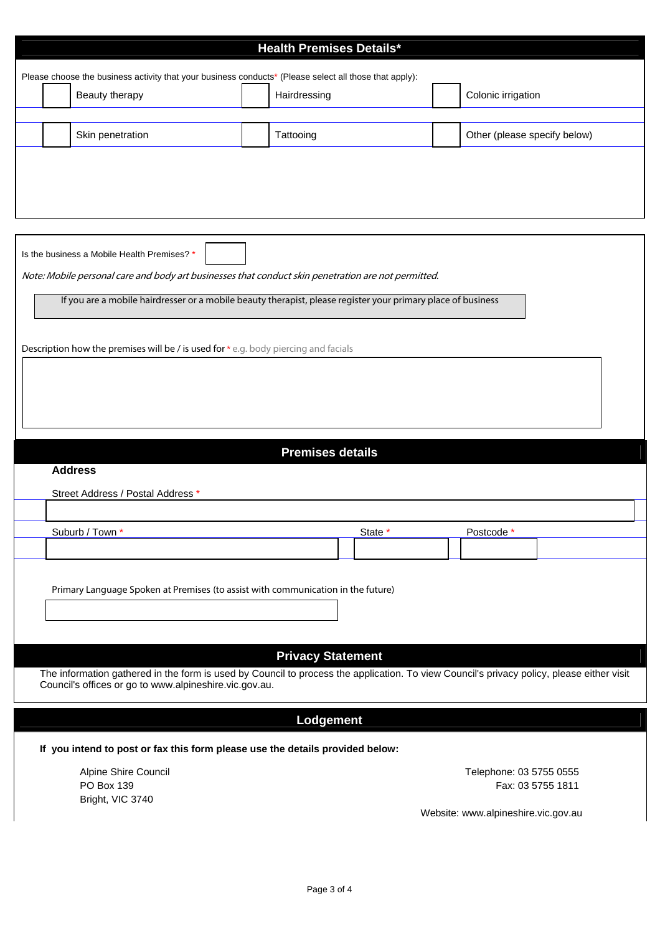|                                                                                                                                                                                                     | <b>Health Premises Details*</b> |                              |  |
|-----------------------------------------------------------------------------------------------------------------------------------------------------------------------------------------------------|---------------------------------|------------------------------|--|
| Please choose the business activity that your business conducts* (Please select all those that apply):                                                                                              |                                 |                              |  |
| Beauty therapy                                                                                                                                                                                      | Hairdressing                    | Colonic irrigation           |  |
| Skin penetration                                                                                                                                                                                    | Tattooing                       | Other (please specify below) |  |
|                                                                                                                                                                                                     |                                 |                              |  |
|                                                                                                                                                                                                     |                                 |                              |  |
|                                                                                                                                                                                                     |                                 |                              |  |
| Is the business a Mobile Health Premises? *                                                                                                                                                         |                                 |                              |  |
| Note: Mobile personal care and body art businesses that conduct skin penetration are not permitted.                                                                                                 |                                 |                              |  |
| If you are a mobile hairdresser or a mobile beauty therapist, please register your primary place of business                                                                                        |                                 |                              |  |
|                                                                                                                                                                                                     |                                 |                              |  |
| Description how the premises will be / is used for * e.g. body piercing and facials                                                                                                                 |                                 |                              |  |
|                                                                                                                                                                                                     |                                 |                              |  |
|                                                                                                                                                                                                     |                                 |                              |  |
|                                                                                                                                                                                                     |                                 |                              |  |
|                                                                                                                                                                                                     | <b>Premises details</b>         |                              |  |
| <b>Address</b>                                                                                                                                                                                      |                                 |                              |  |
| Street Address / Postal Address *                                                                                                                                                                   |                                 |                              |  |
| Suburb / Town *                                                                                                                                                                                     | State <sup>*</sup>              | Postcode <sup>*</sup>        |  |
|                                                                                                                                                                                                     |                                 |                              |  |
|                                                                                                                                                                                                     |                                 |                              |  |
| Primary Language Spoken at Premises (to assist with communication in the future)                                                                                                                    |                                 |                              |  |
|                                                                                                                                                                                                     |                                 |                              |  |
|                                                                                                                                                                                                     |                                 |                              |  |
|                                                                                                                                                                                                     |                                 |                              |  |
|                                                                                                                                                                                                     | <b>Privacy Statement</b>        |                              |  |
| The information gathered in the form is used by Council to process the application. To view Council's privacy policy, please either visit<br>Council's offices or go to www.alpineshire.vic.gov.au. |                                 |                              |  |
|                                                                                                                                                                                                     | Lodgement                       |                              |  |
| If you intend to post or fax this form please use the details provided below:                                                                                                                       |                                 |                              |  |
| Alpine Shire Council                                                                                                                                                                                |                                 | Telephone: 03 5755 0555      |  |
| PO Box 139<br>Bright, VIC 3740                                                                                                                                                                      |                                 | Fax: 03 5755 1811            |  |